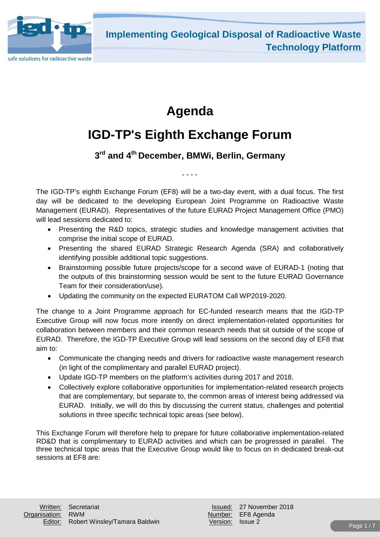

# **Agenda**

# **IGD-TP's Eighth Exchange Forum**

## **3rd and 4th December, BMWi, Berlin, Germany**

- - - -

The IGD-TP's eighth Exchange Forum (EF8) will be a two-day event, with a dual focus. The first day will be dedicated to the developing European Joint Programme on Radioactive Waste Management (EURAD). Representatives of the future EURAD Project Management Office (PMO) will lead sessions dedicated to:

- Presenting the R&D topics, strategic studies and knowledge management activities that comprise the initial scope of EURAD.
- Presenting the shared EURAD Strategic Research Agenda (SRA) and collaboratively identifying possible additional topic suggestions.
- Brainstorming possible future projects/scope for a second wave of EURAD-1 (noting that the outputs of this brainstorming session would be sent to the future EURAD Governance Team for their consideration/use).
- Updating the community on the expected EURATOM Call WP2019-2020.

The change to a Joint Programme approach for EC-funded research means that the IGD-TP Executive Group will now focus more intently on direct implementation-related opportunities for collaboration between members and their common research needs that sit outside of the scope of EURAD. Therefore, the IGD-TP Executive Group will lead sessions on the second day of EF8 that aim to:

- Communicate the changing needs and drivers for radioactive waste management research (in light of the complimentary and parallel EURAD project).
- Update IGD-TP members on the platform's activities during 2017 and 2018.
- Collectively explore collaborative opportunities for implementation-related research projects that are complementary, but separate to, the common areas of interest being addressed via EURAD. Initially, we will do this by discussing the current status, challenges and potential solutions in three specific technical topic areas (see below).

This Exchange Forum will therefore help to prepare for future collaborative implementation-related RD&D that is complimentary to EURAD activities and which can be progressed in parallel. The three technical topic areas that the Executive Group would like to focus on in dedicated break-out sessions at EF8 are: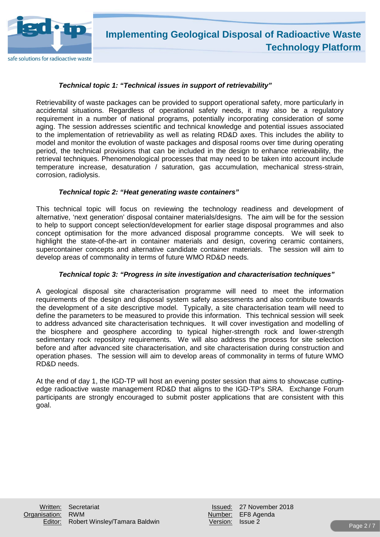

### *Technical topic 1: "Technical issues in support of retrievability"*

Retrievability of waste packages can be provided to support operational safety, more particularly in accidental situations. Regardless of operational safety needs, it may also be a regulatory requirement in a number of national programs, potentially incorporating consideration of some aging. The session addresses scientific and technical knowledge and potential issues associated to the implementation of retrievability as well as relating RD&D axes. This includes the ability to model and monitor the evolution of waste packages and disposal rooms over time during operating period, the technical provisions that can be included in the design to enhance retrievability, the retrieval techniques. Phenomenological processes that may need to be taken into account include temperature increase, desaturation / saturation, gas accumulation, mechanical stress-strain, corrosion, radiolysis.

#### *Technical topic 2: "Heat generating waste containers"*

This technical topic will focus on reviewing the technology readiness and development of alternative, 'next generation' disposal container materials/designs. The aim will be for the session to help to support concept selection/development for earlier stage disposal programmes and also concept optimisation for the more advanced disposal programme concepts. We will seek to highlight the state-of-the-art in container materials and design, covering ceramic containers, supercontainer concepts and alternative candidate container materials. The session will aim to develop areas of commonality in terms of future WMO RD&D needs.

#### *Technical topic 3: "Progress in site investigation and characterisation techniques"*

A geological disposal site characterisation programme will need to meet the information requirements of the design and disposal system safety assessments and also contribute towards the development of a site descriptive model. Typically, a site characterisation team will need to define the parameters to be measured to provide this information. This technical session will seek to address advanced site characterisation techniques. It will cover investigation and modelling of the biosphere and geosphere according to typical higher-strength rock and lower-strength sedimentary rock repository requirements. We will also address the process for site selection before and after advanced site characterisation, and site characterisation during construction and operation phases. The session will aim to develop areas of commonality in terms of future WMO RD&D needs.

At the end of day 1, the IGD-TP will host an evening poster session that aims to showcase cuttingedge radioactive waste management RD&D that aligns to the IGD-TP's SRA. Exchange Forum participants are strongly encouraged to submit poster applications that are consistent with this goal.

|                  | Issued: 27 November 20 |
|------------------|------------------------|
|                  | Jumber: EF8 Agenda     |
| Version: Issue 2 |                        |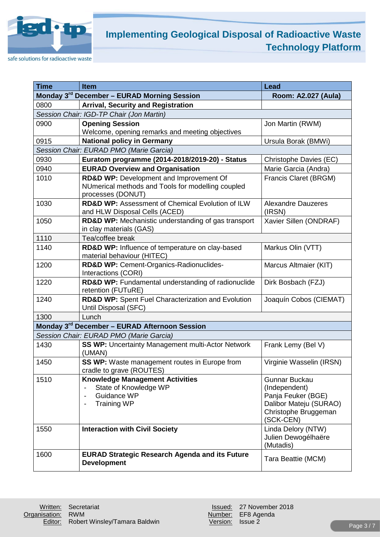

safe solutions for radioactive waste

| <b>Time</b> | <b>Item</b>                                                                                                       | <b>Lead</b>                                                                                                                |  |
|-------------|-------------------------------------------------------------------------------------------------------------------|----------------------------------------------------------------------------------------------------------------------------|--|
|             | Monday 3rd December - EURAD Morning Session                                                                       | Room: A2.027 (Aula)                                                                                                        |  |
| 0800        | <b>Arrival, Security and Registration</b>                                                                         |                                                                                                                            |  |
|             | Session Chair: IGD-TP Chair (Jon Martin)                                                                          |                                                                                                                            |  |
| 0900        | <b>Opening Session</b><br>Welcome, opening remarks and meeting objectives                                         | Jon Martin (RWM)                                                                                                           |  |
| 0915        | <b>National policy in Germany</b>                                                                                 | Ursula Borak (BMWi)                                                                                                        |  |
|             | Session Chair: EURAD PMO (Marie Garcia)                                                                           |                                                                                                                            |  |
| 0930        | Euratom programme (2014-2018/2019-20) - Status                                                                    | Christophe Davies (EC)                                                                                                     |  |
| 0940        | <b>EURAD Overview and Organisation</b>                                                                            | Marie Garcia (Andra)                                                                                                       |  |
| 1010        | RD&D WP: Development and Improvement Of<br>NUmerical methods and Tools for modelling coupled<br>processes (DONUT) | Francis Claret (BRGM)                                                                                                      |  |
| 1030        | <b>RD&amp;D WP: Assessment of Chemical Evolution of ILW</b><br>and HLW Disposal Cells (ACED)                      | <b>Alexandre Dauzeres</b><br>(IRSN)                                                                                        |  |
| 1050        | RD&D WP: Mechanistic understanding of gas transport<br>Xavier Sillen (ONDRAF)<br>in clay materials (GAS)          |                                                                                                                            |  |
| 1110        | Tea/coffee break                                                                                                  |                                                                                                                            |  |
| 1140        | RD&D WP: Influence of temperature on clay-based<br>material behaviour (HITEC)                                     | Markus Olin (VTT)                                                                                                          |  |
| 1200        | RD&D WP: Cement-Organics-Radionuclides-<br>Interactions (CORI)                                                    | Marcus Altmaier (KIT)                                                                                                      |  |
| 1220        | RD&D WP: Fundamental understanding of radionuclide<br>retention (FUTuRE)                                          | Dirk Bosbach (FZJ)                                                                                                         |  |
| 1240        | RD&D WP: Spent Fuel Characterization and Evolution<br>Until Disposal (SFC)                                        | Joaquín Cobos (CIEMAT)                                                                                                     |  |
| 1300        | Lunch                                                                                                             |                                                                                                                            |  |
|             | Monday 3 <sup>rd</sup> December - EURAD Afternoon Session                                                         |                                                                                                                            |  |
|             | Session Chair: EURAD PMO (Marie Garcia)                                                                           |                                                                                                                            |  |
| 1430        | <b>SS WP: Uncertainty Management multi-Actor Network</b><br>(UMAN)                                                | Frank Lemy (Bel V)                                                                                                         |  |
| 1450        | SS WP: Waste management routes in Europe from<br>cradle to grave (ROUTES)                                         | Virginie Wasselin (IRSN)                                                                                                   |  |
| 1510        | <b>Knowledge Management Activities</b><br>State of Knowledge WP<br>Guidance WP<br><b>Training WP</b>              | <b>Gunnar Buckau</b><br>(Independent)<br>Panja Feuker (BGE)<br>Dalibor Mateju (SURAO)<br>Christophe Bruggeman<br>(SCK-CEN) |  |
| 1550        | <b>Interaction with Civil Society</b>                                                                             | Linda Delory (NTW)<br>Julien Dewogélhaëre<br>(Mutadis)                                                                     |  |
| 1600        | <b>EURAD Strategic Research Agenda and its Future</b><br><b>Development</b>                                       | Tara Beattie (MCM)                                                                                                         |  |

Number: EF8 Agenda<br>Version: Issue 2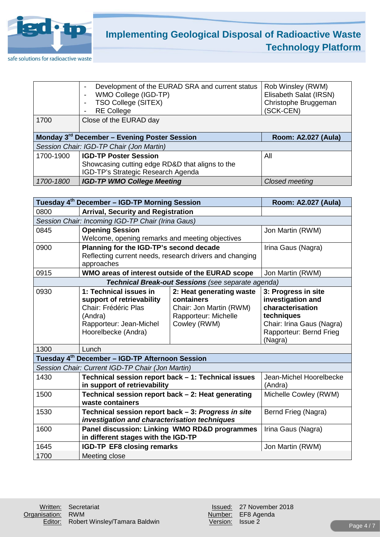

|                                                                                 | Development of the EURAD SRA and current status<br>$\overline{\phantom{a}}$ | Rob Winsley (RWM)      |
|---------------------------------------------------------------------------------|-----------------------------------------------------------------------------|------------------------|
|                                                                                 | WMO College (IGD-TP)                                                        | Elisabeth Salat (IRSN) |
|                                                                                 | <b>TSO College (SITEX)</b>                                                  | Christophe Bruggeman   |
|                                                                                 | <b>RE College</b>                                                           | (SCK-CEN)              |
| 1700                                                                            | Close of the EURAD day                                                      |                        |
| Monday 3 <sup>rd</sup> December - Evening Poster Session<br>Room: A2.027 (Aula) |                                                                             |                        |
|                                                                                 |                                                                             |                        |
|                                                                                 | Session Chair: IGD-TP Chair (Jon Martin)                                    |                        |
| 1700-1900                                                                       | <b>IGD-TP Poster Session</b>                                                | All                    |
|                                                                                 | Showcasing cutting edge RD&D that aligns to the                             |                        |
|                                                                                 | IGD-TP's Strategic Research Agenda                                          |                        |

|                                                             | Tuesday 4 <sup>th</sup> December - IGD-TP Morning Session      |                                                    | Room: A2.027 (Aula)       |
|-------------------------------------------------------------|----------------------------------------------------------------|----------------------------------------------------|---------------------------|
| 0800                                                        | <b>Arrival, Security and Registration</b>                      |                                                    |                           |
| Session Chair: Incoming IGD-TP Chair (Irina Gaus)           |                                                                |                                                    |                           |
| 0845                                                        | <b>Opening Session</b>                                         |                                                    | Jon Martin (RWM)          |
|                                                             | Welcome, opening remarks and meeting objectives                |                                                    |                           |
| 0900                                                        | Planning for the IGD-TP's second decade                        |                                                    | Irina Gaus (Nagra)        |
|                                                             | Reflecting current needs, research drivers and changing        |                                                    |                           |
| 0915                                                        | approaches<br>WMO areas of interest outside of the EURAD scope |                                                    | Jon Martin (RWM)          |
|                                                             |                                                                |                                                    |                           |
|                                                             |                                                                | Technical Break-out Sessions (see separate agenda) |                           |
| 0930                                                        | 1: Technical issues in                                         | 2: Heat generating waste                           | 3: Progress in site       |
|                                                             | support of retrievability                                      | containers                                         | investigation and         |
|                                                             | Chair: Frédéric Plas                                           | Chair: Jon Martin (RWM)                            | characterisation          |
|                                                             | (Andra)                                                        | Rapporteur: Michelle                               | techniques                |
|                                                             | Rapporteur: Jean-Michel                                        | Cowley (RWM)                                       | Chair: Irina Gaus (Nagra) |
|                                                             | Hoorelbecke (Andra)                                            |                                                    | Rapporteur: Bernd Frieg   |
|                                                             |                                                                |                                                    | (Nagra)                   |
| 1300<br>Lunch                                               |                                                                |                                                    |                           |
| Tuesday 4 <sup>th</sup> December - IGD-TP Afternoon Session |                                                                |                                                    |                           |
| Session Chair: Current IGD-TP Chair (Jon Martin)            |                                                                |                                                    |                           |
| 1430                                                        | Technical session report back - 1: Technical issues            |                                                    | Jean-Michel Hoorelbecke   |
|                                                             | in support of retrievability                                   |                                                    | (Andra)                   |
| 1500                                                        | Technical session report back - 2: Heat generating             |                                                    | Michelle Cowley (RWM)     |
|                                                             | waste containers                                               |                                                    |                           |
| 1530                                                        | Technical session report back - 3: Progress in site            |                                                    | Bernd Frieg (Nagra)       |
|                                                             | investigation and characterisation techniques                  |                                                    |                           |
| 1600                                                        | Panel discussion: Linking WMO RD&D programmes                  |                                                    | Irina Gaus (Nagra)        |
|                                                             | in different stages with the IGD-TP                            |                                                    |                           |
| 1645                                                        | <b>IGD-TP EF8 closing remarks</b><br>Jon Martin (RWM)          |                                                    |                           |
| 1700                                                        | Meeting close                                                  |                                                    |                           |

Number: EF8 Agenda<br>Version: Issue 2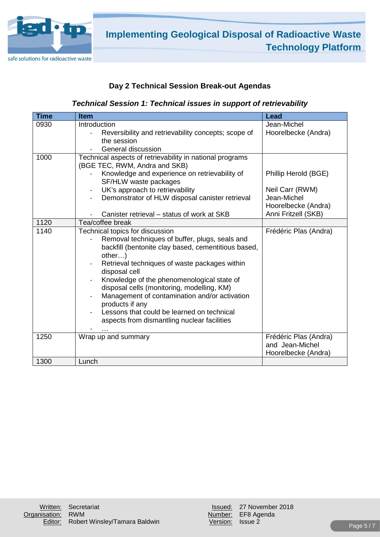

### **Day 2 Technical Session Break-out Agendas**

### *Technical Session 1: Technical issues in support of retrievability*

| <b>Time</b> | <b>Item</b>                                                                               | Lead                  |
|-------------|-------------------------------------------------------------------------------------------|-----------------------|
| 0930        | Introduction                                                                              | Jean-Michel           |
|             | Reversibility and retrievability concepts; scope of                                       | Hoorelbecke (Andra)   |
|             | the session                                                                               |                       |
|             | General discussion                                                                        |                       |
| 1000        | Technical aspects of retrievability in national programs<br>(BGE TEC, RWM, Andra and SKB) |                       |
|             | Knowledge and experience on retrievability of<br>SF/HLW waste packages                    | Phillip Herold (BGE)  |
|             | UK's approach to retrievability<br>$\overline{\phantom{a}}$                               | Neil Carr (RWM)       |
|             | Demonstrator of HLW disposal canister retrieval                                           | Jean-Michel           |
|             |                                                                                           | Hoorelbecke (Andra)   |
|             | Canister retrieval – status of work at SKB                                                | Anni Fritzell (SKB)   |
| 1120        | Tea/coffee break                                                                          |                       |
| 1140        | Technical topics for discussion                                                           | Frédéric Plas (Andra) |
|             | Removal techniques of buffer, plugs, seals and                                            |                       |
|             | backfill (bentonite clay based, cementitious based,                                       |                       |
|             | other)                                                                                    |                       |
|             | Retrieval techniques of waste packages within<br>disposal cell                            |                       |
|             | Knowledge of the phenomenological state of                                                |                       |
|             | disposal cells (monitoring, modelling, KM)                                                |                       |
|             | Management of contamination and/or activation                                             |                       |
|             | products if any                                                                           |                       |
|             | Lessons that could be learned on technical                                                |                       |
|             | aspects from dismantling nuclear facilities                                               |                       |
|             |                                                                                           |                       |
| 1250        | Wrap up and summary                                                                       | Frédéric Plas (Andra) |
|             |                                                                                           | and Jean-Michel       |
|             |                                                                                           | Hoorelbecke (Andra)   |
| 1300        | Lunch                                                                                     |                       |

Number: EF8 Agenda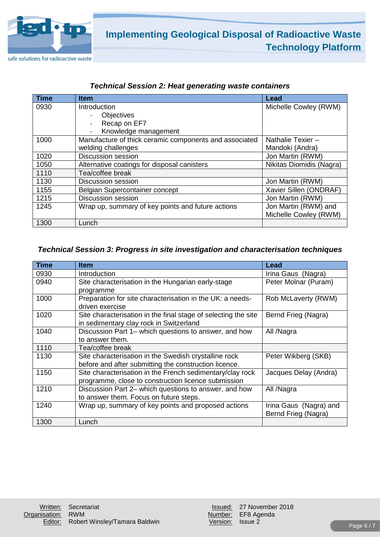

| <b>Time</b> | <b>Item</b>                                            | Lead                     |
|-------------|--------------------------------------------------------|--------------------------|
| 0930        | Introduction                                           | Michelle Cowley (RWM)    |
|             | Objectives                                             |                          |
|             | Recap on EF7                                           |                          |
|             | Knowledge management                                   |                          |
| 1000        | Manufacture of thick ceramic components and associated | Nathalie Texier-         |
|             | welding challenges                                     | Mandoki (Andra)          |
| 1020        | <b>Discussion session</b>                              | Jon Martin (RWM)         |
| 1050        | Alternative coatings for disposal canisters            | Nikitas Diomidis (Nagra) |
| 1110        | Tea/coffee break                                       |                          |
| 1130        | <b>Discussion session</b>                              | Jon Martin (RWM)         |
| 1155        | Belgian Supercontainer concept                         | Xavier Sillen (ONDRAF)   |
| 1215        | <b>Discussion session</b>                              | Jon Martin (RWM)         |
| 1245        | Wrap up, summary of key points and future actions      | Jon Martin (RWM) and     |
|             |                                                        | Michelle Cowley (RWM)    |
| 1300        | Lunch                                                  |                          |

### *Technical Session 2: Heat generating waste containers*

### *Technical Session 3: Progress in site investigation and characterisation techniques*

| <b>Time</b> | <b>Item</b>                                                    | <b>Lead</b>            |
|-------------|----------------------------------------------------------------|------------------------|
| 0930        | Introduction                                                   | Irina Gaus (Nagra)     |
| 0940        | Site characterisation in the Hungarian early-stage             | Peter Molnar (Puram)   |
|             | programme                                                      |                        |
| 1000        | Preparation for site characterisation in the UK: a needs-      | Rob McLaverty (RWM)    |
|             | driven exercise                                                |                        |
| 1020        | Site characterisation in the final stage of selecting the site | Bernd Frieg (Nagra)    |
|             | in sedimentary clay rock in Switzerland                        |                        |
| 1040        | Discussion Part 1- which questions to answer, and how          | All /Nagra             |
|             | to answer them.                                                |                        |
| 1110        | Tea/coffee break                                               |                        |
| 1130        | Site characterisation in the Swedish crystalline rock          | Peter Wikberg (SKB)    |
|             | before and after submitting the construction licence.          |                        |
| 1150        | Site characterisation in the French sedimentary/clay rock      | Jacques Delay (Andra)  |
|             | programme, close to construction licence submission            |                        |
| 1210        | Discussion Part 2- which questions to answer, and how          | All /Nagra             |
|             | to answer them. Focus on future steps.                         |                        |
| 1240        | Wrap up, summary of key points and proposed actions            | Irina Gaus (Nagra) and |
|             |                                                                | Bernd Frieg (Nagra)    |
| 1300        | Lunch                                                          |                        |

|                  | Issued: 27 November 201 |
|------------------|-------------------------|
|                  | Jumber: EF8 Agenda      |
| Version: Issue 2 |                         |